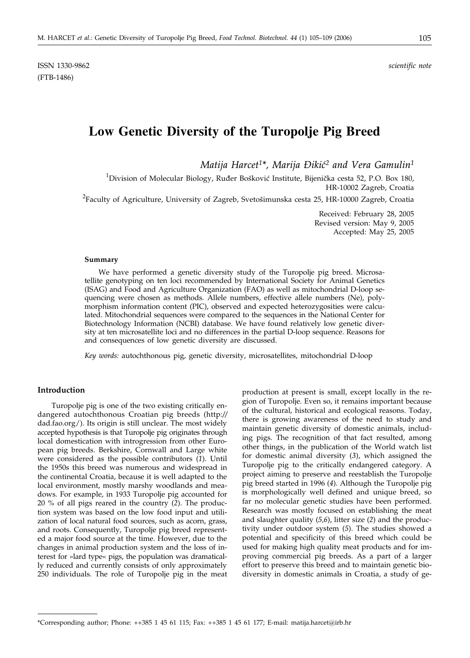ISSN 1330-9862 *scientific note* (FTB-1486)

# **Low Genetic Diversity of the Turopolje Pig Breed**

*Matija Harcet1\*, Marija \iki}2 and Vera Gamulin1*

 $^1$ Division of Molecular Biology, Ruđer Bošković Institute, Bijenička cesta 52, P.O. Box 180, HR-10002 Zagreb, Croatia

 $^{2}$ Faculty of Agriculture, University of Zagreb, Svetošimunska cesta 25, HR-10000 Zagreb, Croatia

Received: February 28, 2005 Revised version: May 9, 2005 Accepted: May 25, 2005

### **Summary**

We have performed a genetic diversity study of the Turopolje pig breed. Microsatellite genotyping on ten loci recommended by International Society for Animal Genetics (ISAG) and Food and Agriculture Organization (FAO) as well as mitochondrial D-loop sequencing were chosen as methods. Allele numbers, effective allele numbers (Ne), polymorphism information content (PIC), observed and expected heterozygosities were calculated. Mitochondrial sequences were compared to the sequences in the National Center for Biotechnology Information (NCBI) database. We have found relatively low genetic diversity at ten microsatellite loci and no differences in the partial D-loop sequence. Reasons for and consequences of low genetic diversity are discussed.

*Key words:* autochthonous pig, genetic diversity, microsatellites, mitochondrial D-loop

## **Introduction**

Turopolje pig is one of the two existing critically endangered autochthonous Croatian pig breeds (http:*//* dad.fao.org/). Its origin is still unclear. The most widely accepted hypothesis is that Turopolje pig originates through local domestication with introgression from other European pig breeds. Berkshire, Cornwall and Large white were considered as the possible contributors (*1*). Until the 1950s this breed was numerous and widespread in the continental Croatia, because it is well adapted to the local environment, mostly marshy woodlands and meadows. For example, in 1933 Turopolje pig accounted for 20 % of all pigs reared in the country (*2*). The production system was based on the low food input and utilization of local natural food sources, such as acorn, grass, and roots. Consequently, Turopolje pig breed represented a major food source at the time. However, due to the changes in animal production system and the loss of interest for »lard type« pigs, the population was dramatically reduced and currently consists of only approximately 250 individuals. The role of Turopolje pig in the meat production at present is small, except locally in the region of Turopolje. Even so, it remains important because of the cultural, historical and ecological reasons. Today, there is growing awareness of the need to study and maintain genetic diversity of domestic animals, including pigs. The recognition of that fact resulted, among other things, in the publication of the World watch list for domestic animal diversity (*3*), which assigned the Turopolje pig to the critically endangered category. A project aiming to preserve and reestablish the Turopolje pig breed started in 1996 (*4*). Although the Turopolje pig is morphologically well defined and unique breed, so far no molecular genetic studies have been performed. Research was mostly focused on establishing the meat and slaughter quality (*5,6*), litter size (*2*) and the productivity under outdoor system (*5*). The studies showed a potential and specificity of this breed which could be used for making high quality meat products and for improving commercial pig breeds. As a part of a larger effort to preserve this breed and to maintain genetic biodiversity in domestic animals in Croatia, a study of ge-

<sup>\*</sup>Corresponding author; Phone: ++385 1 45 61 115; Fax: ++385 1 45 61 177; E-mail: matija.harcet*@*irb.hr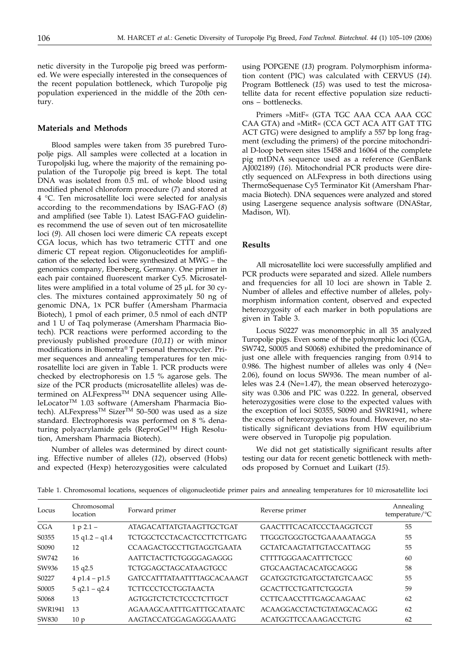netic diversity in the Turopolje pig breed was performed. We were especially interested in the consequences of the recent population bottleneck, which Turopolje pig population experienced in the middle of the 20th century.

# **Materials and Methods**

Blood samples were taken from 35 purebred Turopolje pigs. All samples were collected at a location in Turopoljski lug, where the majority of the remaining population of the Turopolje pig breed is kept. The total DNA was isolated from 0.5 mL of whole blood using modified phenol chloroform procedure (*7*) and stored at 4 °C. Ten microsatellite loci were selected for analysis according to the recommendations by ISAG-FAO (*8*) and amplified (see Table 1). Latest ISAG-FAO guidelines recommend the use of seven out of ten microsatellite loci (*9*). All chosen loci were dimeric CA repeats except CGA locus, which has two tetrameric CTTT and one dimeric CT repeat region. Oligonucleotides for amplification of the selected loci were synthesized at MWG – the genomics company, Ebersberg, Germany. One primer in each pair contained fluorescent marker Cy5. Microsatellites were amplified in a total volume of  $25 \mu L$  for  $30 \text{ cy}$ cles. The mixtures contained approximately 50 ng of genomic DNA, 1x PCR buffer (Amersham Pharmacia Biotech), 1 pmol of each primer, 0.5 nmol of each dNTP and 1 U of Taq polymerase (Amersham Pharmacia Biotech). PCR reactions were performed according to the previously published procedure (*10,11*) or with minor modifications in Biometra® T personal thermocycler. Primer sequences and annealing temperatures for ten microsatellite loci are given in Table 1. PCR products were checked by electrophoresis on 1.5 % agarose gels. The size of the PCR products (microsatellite alleles) was determined on ALFexpress<sup>TM</sup> DNA sequencer using AlleleLocatorTM 1.03 software (Amersham Pharmacia Biotech). ALFexpress<sup>TM</sup> Sizer<sup>TM</sup> 50-500 was used as a size standard. Electrophoresis was performed on 8 % denaturing polyacrylamide gels (ReproGelTM High Resolution, Amersham Pharmacia Biotech).

Number of alleles was determined by direct counting. Effective number of alleles (*12*), observed (Hobs) and expected (Hexp) heterozygosities were calculated

using POPGENE (*13*) program. Polymorphism information content (PIC) was calculated with CERVUS (*14*). Program Bottleneck (*15*) was used to test the microsatellite data for recent effective population size reductions – bottlenecks.

Primers »MitF« (GTA TGC AAA CCA AAA CGC CAA GTA) and »MitR« (CCA GCT ACA ATT GAT TTG ACT GTG) were designed to amplify a 557 bp long fragment (excluding the primers) of the porcine mitochondrial D-loop between sites 15458 and 16064 of the complete pig mtDNA sequence used as a reference (GenBank AJ002189) (*16*). Mitochondrial PCR products were directly sequenced on ALFexpress in both directions using ThermoSequenase Cy5 Terminator Kit (Amersham Pharmacia Biotech). DNA sequences were analyzed and stored using Lasergene sequence analysis software (DNAStar, Madison, WI).

#### **Results**

All microsatellite loci were successfully amplified and PCR products were separated and sized. Allele numbers and frequencies for all 10 loci are shown in Table 2. Number of alleles and effective number of alleles, polymorphism information content, observed and expected heterozygosity of each marker in both populations are given in Table 3.

Locus S0227 was monomorphic in all 35 analyzed Turopolje pigs. Even some of the polymorphic loci (CGA, SW742, S0005 and S0068) exhibited the predominance of just one allele with frequencies ranging from 0.914 to 0.986. The highest number of alleles was only 4 (Ne= 2.06), found on locus SW936. The mean number of alleles was 2.4 (Ne=1.47), the mean observed heterozygosity was 0.306 and PIC was 0.222. In general, observed heterozygosities were close to the expected values with the exception of loci S0355, S0090 and SWR1941, where the excess of heterozygotes was found. However, no statistically significant deviations from HW equilibrium were observed in Turopolje pig population.

We did not get statistically significant results after testing our data for recent genetic bottleneck with methods proposed by Cornuet and Luikart (*15*).

| Locus      | Chromosomal<br>location | Forward primer                     | Reverse primer                   | Annealing<br>temperature/ ${}^{\circ}C$ |
|------------|-------------------------|------------------------------------|----------------------------------|-----------------------------------------|
| <b>CGA</b> | $1 p 2.1 -$             | <b>ATAGACATTATGTAAGTTGCTGAT</b>    | <b>GAACTTTCACATCCCTAAGGTCGT</b>  | 55                                      |
| S0355      | $15$ q $1.2 - q1.4$     | <b>TCTGGCTCCTACACTCCTTCTTGATG</b>  | TTGGGTGGGTGCTGAAAAATAGGA         | 55                                      |
| S0090      | 12                      | <b>CCAAGACTGCCTTGTAGGTGAATA</b>    | <b>GCTATCAAGTATTGTACCATTAGG</b>  | 55                                      |
| SW742      | 16                      | AATTCTACTTCTGGGGAGAGGG             | <b>CTTTTGGGAACATTTCTGCC</b>      | 60                                      |
| SW936      | 15 q2.5                 | <b>TCTGGAGCTAGCATAAGTGCC</b>       | GTGCAAGTACACATGCAGGG             | 58                                      |
| S0227      | $4 p1.4 - p1.5$         | <b>GATCCATTTATAATTTTAGCACAAAGT</b> | <b>GCATGGTGTGATGCTATGTCAAGC</b>  | 55                                      |
| S0005      | $5$ q2.1 - q2.4         | <b>TCTTCCCTCCTGGTAACTA</b>         | <b>GCACTTCCTGATTCTGGGTA</b>      | 59                                      |
| S0068      | 13                      | <b>AGTGGTCTCTCTCCCTCTTGCT</b>      | CCTTCAACCTTTGAGCAAGAAC           | 62                                      |
| SWR1941    | 13                      | <b>AGAAAGCAATTTGATTTGCATAATC</b>   | <b>ACAAGGACCTACTGTATAGCACAGG</b> | 62                                      |
| SW830      | 10 p                    | AAGTACCATGGAGAGGGAAATG             | <b>ACATGGTTCCAAAGACCTGTG</b>     | 62                                      |

Table 1. Chromosomal locations, sequences of oligonucleotide primer pairs and annealing temperatures for 10 microsatellite loci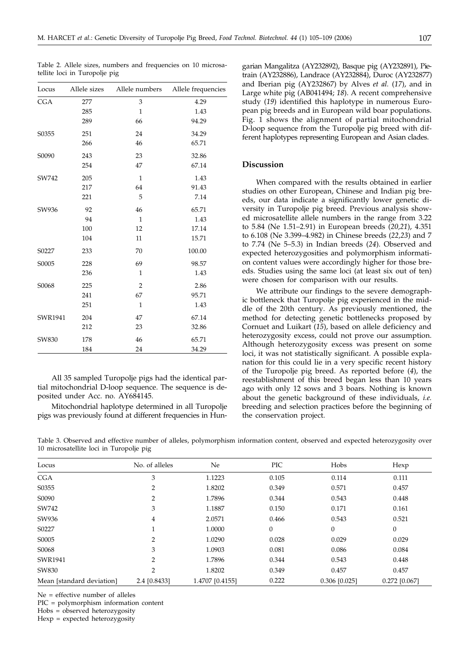| Locus      | Allele sizes |                | Allele numbers Allele frequencies |
|------------|--------------|----------------|-----------------------------------|
| <b>CGA</b> | 277          | 3              | 4.29                              |
|            | 285          | $\mathbf{1}$   | 1.43                              |
|            | 289          | 66             | 94.29                             |
| S0355      | 251          | 24             | 34.29                             |
|            | 266          | 46             | 65.71                             |
| S0090      | 243          | 23             | 32.86                             |
|            | 254          | 47             | 67.14                             |
| SW742      | 205          | $\mathbf{1}$   | 1.43                              |
|            | 217          | 64             | 91.43                             |
|            | 221          | 5              | 7.14                              |
| SW936      | 92           | 46             | 65.71                             |
|            | 94           | $\mathbf{1}$   | 1.43                              |
|            | 100          | 12             | 17.14                             |
|            | 104          | 11             | 15.71                             |
| S0227      | 233          | 70             | 100.00                            |
| S0005      | 228          | 69             | 98.57                             |
|            | 236          | $\mathbf{1}$   | 1.43                              |
| S0068      | 225          | $\overline{2}$ | 2.86                              |
|            | 241          | 67             | 95.71                             |
|            | 251          | $\mathbf{1}$   | 1.43                              |
| SWR1941    | 204          | 47             | 67.14                             |
|            | 212          | 23             | 32.86                             |
| SW830      | 178          | 46             | 65.71                             |
|            | 184          | 24             | 34.29                             |

Table 2. Allele sizes, numbers and frequencies on 10 microsa-

tellite loci in Turopolje pig

All 35 sampled Turopolje pigs had the identical partial mitochondrial D-loop sequence. The sequence is deposited under Acc. no. AY684145.

Mitochondrial haplotype determined in all Turopolje pigs was previously found at different frequencies in Hun-

garian Mangalitza (AY232892), Basque pig (AY232891), Pietrain (AY232886), Landrace (AY232884), Duroc (AY232877) and Iberian pig (AY232867) by Alves *et al.* (*17*), and in Large white pig (AB041494; *18*). A recent comprehensive study (*19*) identified this haplotype in numerous European pig breeds and in European wild boar populations. Fig. 1 shows the alignment of partial mitochondrial D-loop sequence from the Turopolje pig breed with different haplotypes representing European and Asian clades.

# **Discussion**

When compared with the results obtained in earlier studies on other European, Chinese and Indian pig breeds, our data indicate a significantly lower genetic diversity in Turopolje pig breed. Previous analysis showed microsatellite allele numbers in the range from 3.22 to 5.84 (Ne 1.51–2.91) in European breeds (*20,21*), 4.351 to 6.108 (Ne 3.399–4.982) in Chinese breeds (*22,23*) and 7 to 7.74 (Ne 5–5.3) in Indian breeds (*24*). Observed and expected heterozygosities and polymorphism information content values were accordingly higher for those breeds. Studies using the same loci (at least six out of ten) were chosen for comparison with our results.

We attribute our findings to the severe demographic bottleneck that Turopolje pig experienced in the middle of the 20th century. As previously mentioned, the method for detecting genetic bottlenecks proposed by Cornuet and Luikart (*15*), based on allele deficiency and heterozygosity excess, could not prove our assumption. Although heterozygosity excess was present on some loci, it was not statistically significant. A possible explanation for this could lie in a very specific recent history of the Turopolje pig breed. As reported before (*4*), the reestablishment of this breed began less than 10 years ago with only 12 sows and 3 boars. Nothing is known about the genetic background of these individuals, *i.e.* breeding and selection practices before the beginning of the conservation project.

 $0.025$ ]  $0.272$   $[0.067]$ 

Locus No. of alleles Ne PIC Hobs Hexp CGA 3 1.1223 0.105 0.114 0.111 S0355 2 1.8202 0.349 0.571 0.457 S0090 2 1.7896 0.344 0.543 0.448 SW742 3 3 1.1887 0.150 0.171 0.161 SW936 30 4 2.0571 0.466 0.543 0.521 S0227 1 1.0000 0 0 0 S0005 2 1.0290 0.028 0.029 0.029 S0068 3 3 1.0903 0.081 0.086 0.084

0.8433] 1.4707 [0.4155] 0.222 0.306 [

SWR1941 2 1.7896 0.344 0.543 0.448 SW830 2 1.8202 0.349 0.457 0.457 0.457

Table 3. Observed and effective number of alleles, polymorphism information content, observed and expected heterozygosity over 10 microsatellite loci in Turopolje pig

Ne = effective number of alleles

Mean [standard deviation] 2.4 [

PIC = polymorphism information content

Hobs = observed heterozygosity

Hexp = expected heterozygosity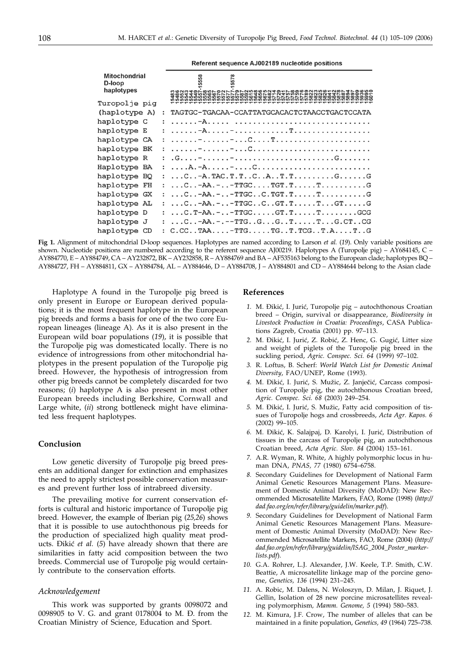Referent sequence AJ002189 nucleotide positions

| <b>Mitochondrial</b><br>D-loop<br>haplotypes |                      | 558<br>578<br>cocod da cococorrere con de corona cocococo da descococor<br>こののののののののののいいいのからハイイイインののののかいのかいいいいいいいいいい |
|----------------------------------------------|----------------------|----------------------------------------------------------------------------------------------------------------------|
| Turopolje pia                                |                      |                                                                                                                      |
| (haplotype A)                                | $\ddot{\phantom{a}}$ | TAGTGC-TGACAA-CCATTATGCACACTCTAACCTGACTCCATA                                                                         |
| haplotype C                                  |                      |                                                                                                                      |
| haplotype E                                  |                      |                                                                                                                      |
| haplotype CA                                 |                      |                                                                                                                      |
| haplotype BK                                 |                      |                                                                                                                      |
| haplotype R                                  |                      |                                                                                                                      |
| Haplotype BA                                 | $\ddot{\phantom{0}}$ |                                                                                                                      |
| haplotype BQ                                 | $\mathbf{r}$         |                                                                                                                      |
| haplotype FH                                 | $\mathbf{r}$         | $\ldots$ $\mathtt{AA}$ TTGCTGT.TTG                                                                                   |
| haplotype GX                                 |                      |                                                                                                                      |
| haplotype AL                                 |                      |                                                                                                                      |
| haplotype D                                  |                      | $\ldots$ C. T-AA. - $\ldots$ -TTGC $\ldots$ . GT. T. $\ldots$ . T. $\ldots$ GCG                                      |
| haplotype J                                  |                      | $\ldots$ $-A$ $A$ $-TTG$ $G$ $T$ $T$ $G$ $CT$                                                                        |
| haplotype CD                                 |                      | : $C.CC. TAA.  - TTG.  TG. . T.TCG. . T.A.  T. .G$                                                                   |

**Fig 1.** Alignment of mitochondrial D-loop sequences. Haplotypes are named according to Larson *et al.* (*19*). Only variable positions are shown. Nucleotide positions are numbered according to the referent sequence AJ00219. Haplotypes A (Turopolje pig) – AY684145, C – AY884770, E – AY884749, CA – AY232872, BK – AY232858, R – AY884769 and BA – AF535163 belong to the European clade; haplotypes BQ – AY884727, FH – AY884811, GX – AY884784, AL – AY884646, D – AY884708, J – AY884801 and CD – AY884644 belong to the Asian clade

Haplotype A found in the Turopolje pig breed is only present in Europe or European derived populations; it is the most frequent haplotype in the European pig breeds and forms a basis for one of the two core European lineages (lineage A). As it is also present in the European wild boar populations (*19*), it is possible that the Turopolje pig was domesticated locally. There is no evidence of introgressions from other mitochondrial haplotypes in the present population of the Turopolje pig breed. However, the hypothesis of introgression from other pig breeds cannot be completely discarded for two reasons; (*i*) haplotype A is also present in most other European breeds including Berkshire, Cornwall and Large white, (*ii*) strong bottleneck might have eliminated less frequent haplotypes.

# **Conclusion**

Low genetic diversity of Turopolje pig breed presents an additional danger for extinction and emphasizes the need to apply strictest possible conservation measures and prevent further loss of intrabreed diversity.

The prevailing motive for current conservation efforts is cultural and historic importance of Turopolje pig breed. However, the example of Iberian pig (*25,26*) shows that it is possible to use autochthonous pig breeds for the production of specialized high quality meat products. Dikić et al. (5) have already shown that there are similarities in fatty acid composition between the two breeds. Commercial use of Turopolje pig would certainly contribute to the conservation efforts.

### *Acknowledgement*

This work was supported by grants 0098072 and 0098905 to V. G. and grant 0178004 to M. Đ. from the Croatian Ministry of Science, Education and Sport.

### **References**

- 1. M. Đikić, I. Jurić, Turopolje pig autochthonous Croatian breed – Origin, survival or disappearance, *Biodiversity in Livestock Production in Croatia: Proceedings*, CASA Publications Zagreb, Croatia (2001) pp. 97–113.
- 2. M. Đikić, I. Jurić, Z. Robić, Z. Henc, G. Gugić, Litter size and weight of piglets of the Turopolje pig breed in the suckling period, *Agric. Conspec. Sci. 64* (1999) 97–102.
- *3.* R. Loftus, B. Scherf: *World Watch List for Domestic Animal Diversity*, FAO/UNEP, Rome (1993).
- 4. M. Đikić, I. Jurić, S. Mužic, Z. Janječić, Carcass composition of Turopolje pig, the autochthonous Croatian breed, *Agric. Conspec. Sci. 68* (2003) 249–254.
- 5. M. Đikić, I. Jurić, S. Mužic, Fatty acid composition of tissues of Turopolje hogs and crossbreeds, *Acta Agr. Kapos. 6* (2002) 99–105.
- *6.* M. \iki}, K. Salajpaj, D. Karolyi, I. Juri}, Distribution of tissues in the carcass of Turopolje pig, an autochthonous Croatian breed, *Acta Agric. Slov. 84* (2004) 153–161.
- *7.* A.R. Wyman, R. White, A highly polymorphic locus in human DNA, *PNAS, 77* (1980) 6754–6758.
- *8.* Secondary Guidelines for Development of National Farm Animal Genetic Resources Management Plans. Measurement of Domestic Animal Diversity (MoDAD): New Recommended Microsatellite Markers, FAO, Rome (1998) (*http:// dad.fao.org/en/refer/library/guidelin/marker.pdf*).
- *9.* Secondary Guidelines for Development of National Farm Animal Genetic Resources Management Plans. Measurement of Domestic Animal Diversity (MoDAD): New Recommended Microsatellite Markers, FAO, Rome (2004) (*http:// dad.fao.org/en/refer/library/guidelin/ISAG\_2004\_Poster\_markerlists.pdf*).
- *10.* G.A. Rohrer, L.J. Alexander, J.W. Keele, T.P. Smith, C.W. Beattie, A microsatellite linkage map of the porcine genome, *Genetics, 136* (1994) 231–245.
- *11.* A. Robic, M. Dalens, N. Woloszyn, D. Milan, J. Riquet, J. Gellin, Isolation of 28 new porcine microsatellites revealing polymorphism*, Mamm. Genome, 5* (1994) 580–583.
- *12.* M. Kimura, J.F. Crow, The number of alleles that can be maintained in a finite population, *Genetics, 49* (1964) 725–738.